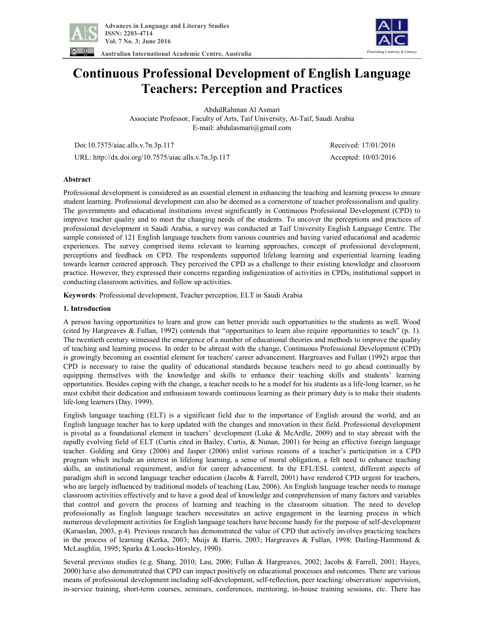

**Australian International Academic Centre, Australia** 



# **Continuous Professional Development of English Language Teachers: Perception and Practices**

AbdulRahman Al Asmari Associate Professor, Faculty of Arts, Taif University, At-Taif, Saudi Arabia E-mail: abdulasmari@gmail.com

Doi:10.7575/aiac.alls.v.7n.3p.117 Received: 17/01/2016

URL: http://dx.doi.org/10.7575/aiac.alls.v.7n.3p.117 Accepted: 10/03/2016

## **Abstract**

Professional development is considered as an essential element in enhancing the teaching and learning process to ensure student learning. Professional development can also be deemed as a cornerstone of teacher professionalism and quality. The governments and educational institutions invest significantly in Continuous Professional Development (CPD) to improve teacher quality and to meet the changing needs of the students. To uncover the perceptions and practices of professional development in Saudi Arabia, a survey was conducted at Taif University English Language Centre. The sample consisted of 121 English language teachers from various countries and having varied educational and academic experiences. The survey comprised items relevant to learning approaches, concept of professional development, perceptions and feedback on CPD. The respondents supported lifelong learning and experiential learning leading towards learner centered approach. They perceived the CPD as a challenge to their existing knowledge and classroom practice. However, they expressed their concerns regarding indigenization of activities in CPDs, institutional support in conducting classroom activities, and follow up activities.

**Keywords**: Professional development, Teacher perception, ELT in Saudi Arabia

#### **1. Introduction**

A person having opportunities to learn and grow can better provide such opportunities to the students as well. Wood (cited by Hargreaves & Fullan, 1992) contends that "opportunities to learn also require opportunities to teach" (p. 1). The twentieth century witnessed the emergence of a number of educational theories and methods to improve the quality of teaching and learning process. In order to be abreast with the change, Continuous Professional Development (CPD) is growingly becoming an essential element for teachers' career advancement. Hargreaves and Fullan (1992) argue that CPD is necessary to raise the quality of educational standards because teachers need to go ahead continually by equipping themselves with the knowledge and skills to enhance their teaching skills and students' learning opportunities. Besides coping with the change, a teacher needs to be a model for his students as a life-long learner, so he must exhibit their dedication and enthusiasm towards continuous learning as their primary duty is to make their students life-long learners (Day, 1999).

English language teaching (ELT) is a significant field due to the importance of English around the world, and an English language teacher has to keep updated with the changes and innovation in their field. Professional development is pivotal as a foundational element in teachers' development (Luke & McArdle, 2009) and to stay abreast with the rapidly evolving field of ELT (Curtis cited in Bailey, Curtis, & Nunan, 2001) for being an effective foreign language teacher. Golding and Gray (2006) and Jasper (2006) enlist various reasons of a teacher's participation in a CPD program which include an interest in lifelong learning, a sense of moral obligation, a felt need to enhance teaching skills, an institutional requirement, and/or for career advancement. In the EFL/ESL context, different aspects of paradigm shift in second language teacher education (Jacobs & Farrell, 2001) have rendered CPD urgent for teachers, who are largely influenced by traditional models of teaching (Lau, 2006). An English language teacher needs to manage classroom activities effectively and to have a good deal of knowledge and comprehension of many factors and variables that control and govern the process of learning and teaching in the classroom situation. The need to develop professionally as English language teachers necessitates an active engagement in the learning process in which numerous development activities for English language teachers have become handy for the purpose of self-development (Karaaslan, 2003, p.4). Previous research has demonstrated the value of CPD that actively involves practicing teachers in the process of learning (Kerka, 2003; Muijs & Harris, 2003; Hargreaves & Fullan, 1998; Darling-Hammond & McLaughlin, 1995; Sparks & Loucks-Horsley, 1990).

Several previous studies (e.g. Shang, 2010; Lau, 2006; Fullan & Hargreaves, 2002; Jacobs & Farrell, 2001; Hayes, 2000) have also demonstrated that CPD can impact positively on educational processes and outcomes. There are various means of professional development including self-development, self-reflection, peer teaching/ observation/ supervision, in-service training, short-term courses, seminars, conferences, mentoring, in-house training sessions, etc. There has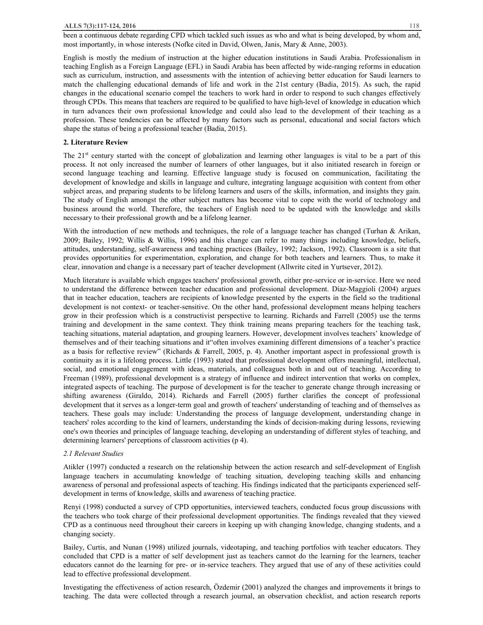been a continuous debate regarding CPD which tackled such issues as who and what is being developed, by whom and, most importantly, in whose interests (Nofke cited in David, Olwen, Janis, Mary & Anne, 2003).

English is mostly the medium of instruction at the higher education institutions in Saudi Arabia. Professionalism in teaching English as a Foreign Language (EFL) in Saudi Arabia has been affected by wide-ranging reforms in education such as curriculum, instruction, and assessments with the intention of achieving better education for Saudi learners to match the challenging educational demands of life and work in the 21st century (Badia, 2015). As such, the rapid changes in the educational scenario compel the teachers to work hard in order to respond to such changes effectively through CPDs. This means that teachers are required to be qualified to have high-level of knowledge in education which in turn advances their own professional knowledge and could also lead to the development of their teaching as a profession. These tendencies can be affected by many factors such as personal, educational and social factors which shape the status of being a professional teacher (Badia, 2015).

#### **2. Literature Review**

The 21st century started with the concept of globalization and learning other languages is vital to be a part of this process. It not only increased the number of learners of other languages, but it also initiated research in foreign or second language teaching and learning. Effective language study is focused on communication, facilitating the development of knowledge and skills in language and culture, integrating language acquisition with content from other subject areas, and preparing students to be lifelong learners and users of the skills, information, and insights they gain. The study of English amongst the other subject matters has become vital to cope with the world of technology and business around the world. Therefore, the teachers of English need to be updated with the knowledge and skills necessary to their professional growth and be a lifelong learner.

With the introduction of new methods and techniques, the role of a language teacher has changed (Turhan & Arikan, 2009; Bailey, 1992; Willis & Willis, 1996) and this change can refer to many things including knowledge, beliefs, attitudes, understanding, self-awareness and teaching practices (Bailey, 1992; Jackson, 1992). Classroom is a site that provides opportunities for experimentation, exploration, and change for both teachers and learners. Thus, to make it clear, innovation and change is a necessary part of teacher development (Allwrite cited in Yurtsever, 2012).

Much literature is available which engages teachers' professional growth, either pre-service or in-service. Here we need to understand the difference between teacher education and professional development. Díaz-Maggioli (2004) argues that in teacher education, teachers are recipients of knowledge presented by the experts in the field so the traditional development is not context- or teacher-sensitive. On the other hand, professional development means helping teachers grow in their profession which is a constructivist perspective to learning. Richards and Farrell (2005) use the terms training and development in the same context. They think training means preparing teachers for the teaching task, teaching situations, material adaptation, and grouping learners. However, development involves teachers' knowledge of themselves and of their teaching situations and it"often involves examining different dimensions of a teacher's practice as a basis for reflective review" (Richards & Farrell, 2005, p. 4). Another important aspect in professional growth is continuity as it is a lifelong process. Little (1993) stated that professional development offers meaningful, intellectual, social, and emotional engagement with ideas, materials, and colleagues both in and out of teaching. According to Freeman (1989), professional development is a strategy of influence and indirect intervention that works on complex, integrated aspects of teaching. The purpose of development is for the teacher to generate change through increasing or shifting awareness (Giraldo, 2014). Richards and Farrell (2005) further clarifies the concept of professional development that it serves as a longer-term goal and growth of teachers' understanding of teaching and of themselves as teachers. These goals may include: Understanding the process of language development, understanding change in teachers' roles according to the kind of learners, understanding the kinds of decision-making during lessons, reviewing one's own theories and principles of language teaching, developing an understanding of different styles of teaching, and determining learners' perceptions of classroom activities (p 4).

#### *2.1 Relevant Studies*

Atikler (1997) conducted a research on the relationship between the action research and self-development of English language teachers in accumulating knowledge of teaching situation, developing teaching skills and enhancing awareness of personal and professional aspects of teaching. His findings indicated that the participants experienced selfdevelopment in terms of knowledge, skills and awareness of teaching practice.

Renyi (1998) conducted a survey of CPD opportunities, interviewed teachers, conducted focus group discussions with the teachers who took charge of their professional development opportunities. The findings revealed that they viewed CPD as a continuous need throughout their careers in keeping up with changing knowledge, changing students, and a changing society.

Bailey, Curtis, and Nunan (1998) utilized journals, videotaping, and teaching portfolios with teacher educators. They concluded that CPD is a matter of self development just as teachers cannot do the learning for the learners, teacher educators cannot do the learning for pre- or in-service teachers. They argued that use of any of these activities could lead to effective professional development.

Investigating the effectiveness of action research, Özdemir (2001) analyzed the changes and improvements it brings to teaching. The data were collected through a research journal, an observation checklist, and action research reports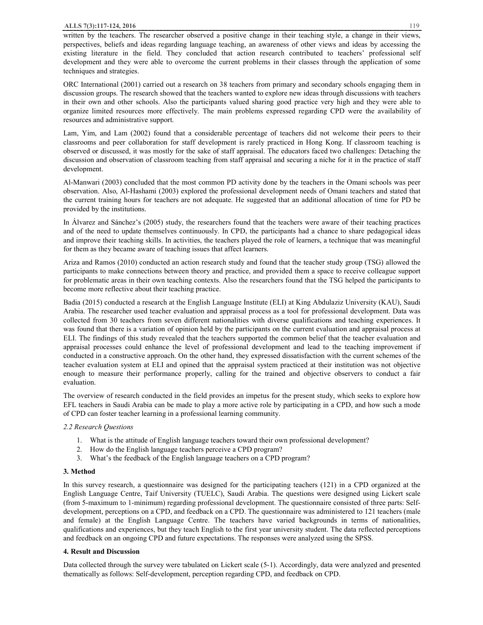written by the teachers. The researcher observed a positive change in their teaching style, a change in their views, perspectives, beliefs and ideas regarding language teaching, an awareness of other views and ideas by accessing the existing literature in the field. They concluded that action research contributed to teachers' professional self development and they were able to overcome the current problems in their classes through the application of some techniques and strategies.

ORC International (2001) carried out a research on 38 teachers from primary and secondary schools engaging them in discussion groups. The research showed that the teachers wanted to explore new ideas through discussions with teachers in their own and other schools. Also the participants valued sharing good practice very high and they were able to organize limited resources more effectively. The main problems expressed regarding CPD were the availability of resources and administrative support.

Lam, Yim, and Lam (2002) found that a considerable percentage of teachers did not welcome their peers to their classrooms and peer collaboration for staff development is rarely practiced in Hong Kong. If classroom teaching is observed or discussed, it was mostly for the sake of staff appraisal. The educators faced two challenges: Detaching the discussion and observation of classroom teaching from staff appraisal and securing a niche for it in the practice of staff development.

Al-Manwari (2003) concluded that the most common PD activity done by the teachers in the Omani schools was peer observation. Also, Al-Hashami (2003) explored the professional development needs of Omani teachers and stated that the current training hours for teachers are not adequate. He suggested that an additional allocation of time for PD be provided by the institutions.

In Álvarez and Sánchez's (2005) study, the researchers found that the teachers were aware of their teaching practices and of the need to update themselves continuously. In CPD, the participants had a chance to share pedagogical ideas and improve their teaching skills. In activities, the teachers played the role of learners, a technique that was meaningful for them as they became aware of teaching issues that affect learners.

Ariza and Ramos (2010) conducted an action research study and found that the teacher study group (TSG) allowed the participants to make connections between theory and practice, and provided them a space to receive colleague support for problematic areas in their own teaching contexts. Also the researchers found that the TSG helped the participants to become more reflective about their teaching practice.

Badia (2015) conducted a research at the English Language Institute (ELI) at King Abdulaziz University (KAU), Saudi Arabia. The researcher used teacher evaluation and appraisal process as a tool for professional development. Data was collected from 30 teachers from seven different nationalities with diverse qualifications and teaching experiences. It was found that there is a variation of opinion held by the participants on the current evaluation and appraisal process at ELI. The findings of this study revealed that the teachers supported the common belief that the teacher evaluation and appraisal processes could enhance the level of professional development and lead to the teaching improvement if conducted in a constructive approach. On the other hand, they expressed dissatisfaction with the current schemes of the teacher evaluation system at ELI and opined that the appraisal system practiced at their institution was not objective enough to measure their performance properly, calling for the trained and objective observers to conduct a fair evaluation.

The overview of research conducted in the field provides an impetus for the present study, which seeks to explore how EFL teachers in Saudi Arabia can be made to play a more active role by participating in a CPD, and how such a mode of CPD can foster teacher learning in a professional learning community.

# *2.2 Research Questions*

- 1. What is the attitude of English language teachers toward their own professional development?
- 2. How do the English language teachers perceive a CPD program?
- 3. What's the feedback of the English language teachers on a CPD program?

# **3. Method**

In this survey research, a questionnaire was designed for the participating teachers (121) in a CPD organized at the English Language Centre, Taif University (TUELC), Saudi Arabia. The questions were designed using Lickert scale (from 5-maximum to 1-minimum) regarding professional development. The questionnaire consisted of three parts: Selfdevelopment, perceptions on a CPD, and feedback on a CPD. The questionnaire was administered to 121 teachers (male and female) at the English Language Centre. The teachers have varied backgrounds in terms of nationalities, qualifications and experiences, but they teach English to the first year university student. The data reflected perceptions and feedback on an ongoing CPD and future expectations. The responses were analyzed using the SPSS.

# **4. Result and Discussion**

Data collected through the survey were tabulated on Lickert scale (5-1). Accordingly, data were analyzed and presented thematically as follows: Self-development, perception regarding CPD, and feedback on CPD.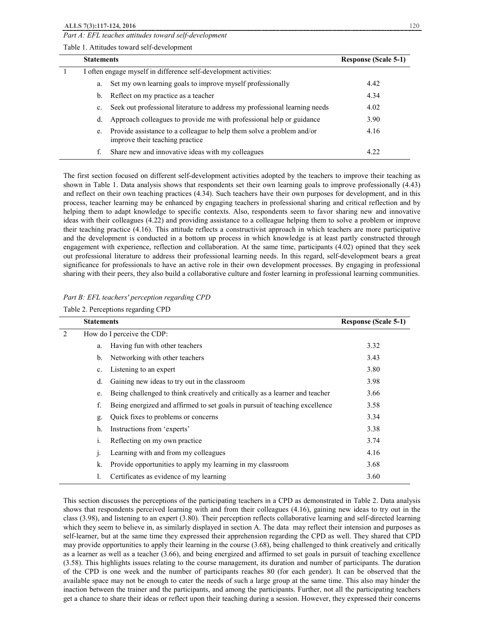*Part A: EFL teaches attitudes toward self-development* 

Table 1. Attitudes toward self-development

| <b>Statements</b>                                                |                                                                                                          | <b>Response (Scale 5-1)</b> |
|------------------------------------------------------------------|----------------------------------------------------------------------------------------------------------|-----------------------------|
| I often engage myself in difference self-development activities: |                                                                                                          |                             |
| a.                                                               | Set my own learning goals to improve myself professionally                                               | 4.42                        |
| b.                                                               | Reflect on my practice as a teacher                                                                      | 4.34                        |
| $c_{\cdot}$                                                      | Seek out professional literature to address my professional learning needs                               | 4.02                        |
| d.                                                               | Approach colleagues to provide me with professional help or guidance                                     | 3.90                        |
| e.                                                               | Provide assistance to a colleague to help them solve a problem and/or<br>improve their teaching practice | 4.16                        |
| f.                                                               | Share new and innovative ideas with my colleagues                                                        | 4.22                        |

The first section focused on different self-development activities adopted by the teachers to improve their teaching as shown in Table 1. Data analysis shows that respondents set their own learning goals to improve professionally (4.43) and reflect on their own teaching practices (4.34). Such teachers have their own purposes for development, and in this process, teacher learning may be enhanced by engaging teachers in professional sharing and critical reflection and by helping them to adapt knowledge to specific contexts. Also, respondents seem to favor sharing new and innovative ideas with their colleagues (4.22) and providing assistance to a colleague helping them to solve a problem or improve their teaching practice (4.16). This attitude reflects a constructivist approach in which teachers are more participative and the development is conducted in a bottom up process in which knowledge is at least partly constructed through engagement with experience, reflection and collaboration. At the same time, participants (4.02) opined that they seek out professional literature to address their professional learning needs. In this regard, self-development bears a great significance for professionals to have an active role in their own development processes. By engaging in professional sharing with their peers, they also build a collaborative culture and foster learning in professional learning communities.

| Part B: EFL teachers' perception regarding CPD |  |  |
|------------------------------------------------|--|--|
|------------------------------------------------|--|--|

Table 2. Perceptions regarding CPD

|   | <b>Statements</b> |                                                                              | <b>Response (Scale 5-1)</b> |
|---|-------------------|------------------------------------------------------------------------------|-----------------------------|
| 2 |                   | How do I perceive the CDP:                                                   |                             |
|   | a.                | Having fun with other teachers                                               | 3.32                        |
|   | b.                | Networking with other teachers                                               | 3.43                        |
|   | c.                | Listening to an expert                                                       | 3.80                        |
|   | d.                | Gaining new ideas to try out in the classroom                                | 3.98                        |
|   | e.                | Being challenged to think creatively and critically as a learner and teacher | 3.66                        |
|   | f.                | Being energized and affirmed to set goals in pursuit of teaching excellence  | 3.58                        |
|   | g.                | Quick fixes to problems or concerns                                          | 3.34                        |
|   | h.                | Instructions from 'experts'                                                  | 3.38                        |
|   | 1.                | Reflecting on my own practice                                                | 3.74                        |
|   | $\mathbf{1}$      | Learning with and from my colleagues                                         | 4.16                        |
|   | k.                | Provide opportunities to apply my learning in my classroom                   | 3.68                        |
|   | 1.                | Certificates as evidence of my learning                                      | 3.60                        |

This section discusses the perceptions of the participating teachers in a CPD as demonstrated in Table 2. Data analysis shows that respondents perceived learning with and from their colleagues (4.16), gaining new ideas to try out in the class (3.98), and listening to an expert (3.80). Their perception reflects collaborative learning and self-directed learning which they seem to believe in, as similarly displayed in section A. The data may reflect their intension and purposes as self-learner, but at the same time they expressed their apprehension regarding the CPD as well. They shared that CPD may provide opportunities to apply their learning in the course (3.68), being challenged to think creatively and critically as a learner as well as a teacher (3.66), and being energized and affirmed to set goals in pursuit of teaching excellence (3.58). This highlights issues relating to the course management, its duration and number of participants. The duration of the CPD is one week and the number of participants reaches 80 (for each gender). It can be observed that the available space may not be enough to cater the needs of such a large group at the same time. This also may hinder the inaction between the trainer and the participants, and among the participants. Further, not all the participating teachers get a chance to share their ideas or reflect upon their teaching during a session. However, they expressed their concerns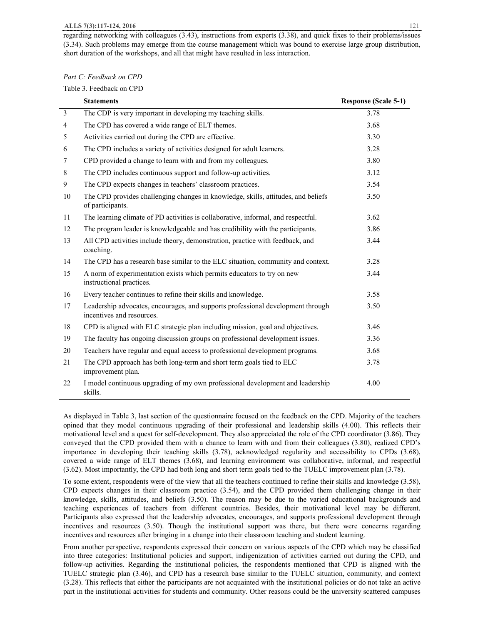regarding networking with colleagues (3.43), instructions from experts (3.38), and quick fixes to their problems/issues (3.34). Such problems may emerge from the course management which was bound to exercise large group distribution, short duration of the workshops, and all that might have resulted in less interaction.

| Part C: Feedback on CPD |  |
|-------------------------|--|
|-------------------------|--|

Table 3. Feedback on CPD

|                | <b>Statements</b>                                                                                            | <b>Response (Scale 5-1)</b> |
|----------------|--------------------------------------------------------------------------------------------------------------|-----------------------------|
| $\overline{3}$ | The CDP is very important in developing my teaching skills.                                                  | 3.78                        |
| $\overline{4}$ | The CPD has covered a wide range of ELT themes.                                                              | 3.68                        |
| 5              | Activities carried out during the CPD are effective.                                                         | 3.30                        |
| 6              | The CPD includes a variety of activities designed for adult learners.                                        | 3.28                        |
| 7              | CPD provided a change to learn with and from my colleagues.                                                  | 3.80                        |
| 8              | The CPD includes continuous support and follow-up activities.                                                | 3.12                        |
| 9              | The CPD expects changes in teachers' classroom practices.                                                    | 3.54                        |
| 10             | The CPD provides challenging changes in knowledge, skills, attitudes, and beliefs<br>of participants.        | 3.50                        |
| 11             | The learning climate of PD activities is collaborative, informal, and respectful.                            | 3.62                        |
| 12             | The program leader is knowledgeable and has credibility with the participants.                               | 3.86                        |
| 13             | All CPD activities include theory, demonstration, practice with feedback, and<br>coaching.                   | 3.44                        |
| 14             | The CPD has a research base similar to the ELC situation, community and context.                             | 3.28                        |
| 15             | A norm of experimentation exists which permits educators to try on new<br>instructional practices.           | 3.44                        |
| 16             | Every teacher continues to refine their skills and knowledge.                                                | 3.58                        |
| 17             | Leadership advocates, encourages, and supports professional development through<br>incentives and resources. | 3.50                        |
| 18             | CPD is aligned with ELC strategic plan including mission, goal and objectives.                               | 3.46                        |
| 19             | The faculty has ongoing discussion groups on professional development issues.                                | 3.36                        |
| 20             | Teachers have regular and equal access to professional development programs.                                 | 3.68                        |
| 21             | The CPD approach has both long-term and short term goals tied to ELC<br>improvement plan.                    | 3.78                        |
| 22             | I model continuous upgrading of my own professional development and leadership<br>skills.                    | 4.00                        |

As displayed in Table 3, last section of the questionnaire focused on the feedback on the CPD. Majority of the teachers opined that they model continuous upgrading of their professional and leadership skills (4.00). This reflects their motivational level and a quest for self-development. They also appreciated the role of the CPD coordinator (3.86). They conveyed that the CPD provided them with a chance to learn with and from their colleagues (3.80), realized CPD's importance in developing their teaching skills (3.78), acknowledged regularity and accessibility to CPDs (3.68), covered a wide range of ELT themes (3.68), and learning environment was collaborative, informal, and respectful (3.62). Most importantly, the CPD had both long and short term goals tied to the TUELC improvement plan (3.78).

To some extent, respondents were of the view that all the teachers continued to refine their skills and knowledge (3.58), CPD expects changes in their classroom practice (3.54), and the CPD provided them challenging change in their knowledge, skills, attitudes, and beliefs (3.50). The reason may be due to the varied educational backgrounds and teaching experiences of teachers from different countries. Besides, their motivational level may be different. Participants also expressed that the leadership advocates, encourages, and supports professional development through incentives and resources (3.50). Though the institutional support was there, but there were concerns regarding incentives and resources after bringing in a change into their classroom teaching and student learning.

From another perspective, respondents expressed their concern on various aspects of the CPD which may be classified into three categories: Institutional policies and support, indigenization of activities carried out during the CPD, and follow-up activities. Regarding the institutional policies, the respondents mentioned that CPD is aligned with the TUELC strategic plan (3.46), and CPD has a research base similar to the TUELC situation, community, and context (3.28). This reflects that either the participants are not acquainted with the institutional policies or do not take an active part in the institutional activities for students and community. Other reasons could be the university scattered campuses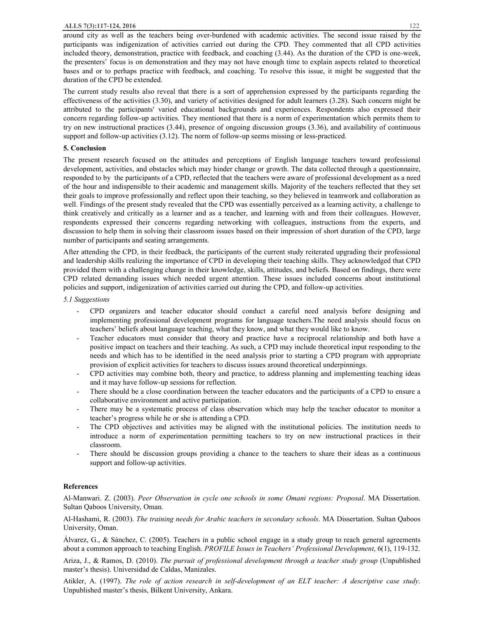#### **ALLS 7(3):117-124, 2016** 122

around city as well as the teachers being over-burdened with academic activities. The second issue raised by the participants was indigenization of activities carried out during the CPD. They commented that all CPD activities included theory, demonstration, practice with feedback, and coaching (3.44). As the duration of the CPD is one-week, the presenters' focus is on demonstration and they may not have enough time to explain aspects related to theoretical bases and or to perhaps practice with feedback, and coaching. To resolve this issue, it might be suggested that the duration of the CPD be extended.

The current study results also reveal that there is a sort of apprehension expressed by the participants regarding the effectiveness of the activities (3.30), and variety of activities designed for adult learners (3.28). Such concern might be attributed to the participants' varied educational backgrounds and experiences. Respondents also expressed their concern regarding follow-up activities. They mentioned that there is a norm of experimentation which permits them to try on new instructional practices (3.44), presence of ongoing discussion groups (3.36), and availability of continuous support and follow-up activities (3.12). The norm of follow-up seems missing or less-practiced.

# **5. Conclusion**

The present research focused on the attitudes and perceptions of English language teachers toward professional development, activities, and obstacles which may hinder change or growth. The data collected through a questionnaire, responded to by the participants of a CPD, reflected that the teachers were aware of professional development as a need of the hour and indispensible to their academic and management skills. Majority of the teachers reflected that they set their goals to improve professionally and reflect upon their teaching, so they believed in teamwork and collaboration as well. Findings of the present study revealed that the CPD was essentially perceived as a learning activity, a challenge to think creatively and critically as a learner and as a teacher, and learning with and from their colleagues. However, respondents expressed their concerns regarding networking with colleagues, instructions from the experts, and discussion to help them in solving their classroom issues based on their impression of short duration of the CPD, large number of participants and seating arrangements.

After attending the CPD, in their feedback, the participants of the current study reiterated upgrading their professional and leadership skills realizing the importance of CPD in developing their teaching skills. They acknowledged that CPD provided them with a challenging change in their knowledge, skills, attitudes, and beliefs. Based on findings, there were CPD related demanding issues which needed urgent attention. These issues included concerns about institutional policies and support, indigenization of activities carried out during the CPD, and follow-up activities.

## *5.1 Suggestions*

- CPD organizers and teacher educator should conduct a careful need analysis before designing and implementing professional development programs for language teachers.The need analysis should focus on teachers' beliefs about language teaching, what they know, and what they would like to know.
- Teacher educators must consider that theory and practice have a reciprocal relationship and both have a positive impact on teachers and their teaching. As such, a CPD may include theoretical input responding to the needs and which has to be identified in the need analysis prior to starting a CPD program with appropriate provision of explicit activities for teachers to discuss issues around theoretical underpinnings.
- CPD activities may combine both, theory and practice, to address planning and implementing teaching ideas and it may have follow-up sessions for reflection.
- There should be a close coordination between the teacher educators and the participants of a CPD to ensure a collaborative environment and active participation.
- There may be a systematic process of class observation which may help the teacher educator to monitor a teacher's progress while he or she is attending a CPD.
- The CPD objectives and activities may be aligned with the institutional policies. The institution needs to introduce a norm of experimentation permitting teachers to try on new instructional practices in their classroom.
- There should be discussion groups providing a chance to the teachers to share their ideas as a continuous support and follow-up activities.

## **References**

Al-Manwari. Z. (2003). *Peer Observation in cycle one schools in some Omani regions: Proposal*. MA Dissertation. Sultan Qaboos University, Oman.

Al-Hashami, R. (2003). *The training needs for Arabic teachers in secondary schools*. MA Dissertation. Sultan Qaboos University, Oman.

Álvarez, G., & Sánchez, C. (2005). Teachers in a public school engage in a study group to reach general agreements about a common approach to teaching English. *PROFILE Issues in Teachers' Professional Development*, 6(1), 119-132.

Ariza, J., & Ramos, D. (2010). *The pursuit of professional development through a teacher study group* (Unpublished master's thesis). Universidad de Caldas, Manizales.

Atikler, A. (1997). *The role of action research in self-development of an ELT teacher: A descriptive case study*. Unpublished master's thesis, Bilkent University, Ankara.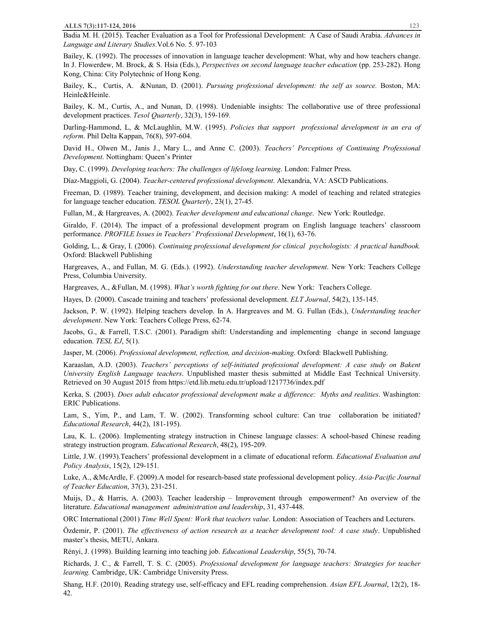Badia M. H. (2015). Teacher Evaluation as a Tool for Professional Development: A Case of Saudi Arabia. *Advances in Language and Literary Studies*.Vol.6 No. 5. 97-103

Bailey, K. (1992). The processes of innovation in language teacher development: What, why and how teachers change. In J. Flowerdew, M. Brock, & S. Hsia (Eds.), *Perspectives on second language teacher education* (pp. 253-282). Hong Kong, China: City Polytechnic of Hong Kong.

Bailey, K., Curtis, A. &Nunan, D. (2001). *Pursuing professional development: the self as source.* Boston, MA: Heinle&Heinle.

Bailey, K. M., Curtis, A., and Nunan, D. (1998). Undeniable insights: The collaborative use of three professional development practices. *Tesol Quarterly*, 32(3), 159-169.

Darling-Hammond, L, & McLaughlin, M.W. (1995). *Policies that support professional development in an era of reform*. Phil Delta Kappan, 76(8), 597-604.

David H., Olwen M., Janis J., Mary L., and Anne C. (2003). *Teachers' Perceptions of Continuing Professional Development*. Nottingham: Queen's Printer

Day, C. (1999). *Developing teachers: The challenges of lifelong learning*. London: Falmer Press.

Díaz-Maggioli, G. (2004). *Teacher-centered professional development*. Alexandria, VA: ASCD Publications.

Freeman, D. (1989). Teacher training, development, and decision making: A model of teaching and related strategies for language teacher education. *TESOL Quarterly*, 23(1), 27-45.

Fullan, M., & Hargreaves, A. (2002). *Teacher development and educational change*. New York: Routledge.

Giraldo, F. (2014). The impact of a professional development program on English language teachers' classroom performance. *PROFILE Issues in Teachers' Professional Development*, 16(1), 63-76.

Golding, L., & Gray, I. (2006). *Continuing professional development for clinical psychologists: A practical handbook.* Oxford: Blackwell Publishing

Hargreaves, A., and Fullan, M. G. (Eds.). (1992). *Understanding teacher development*. New York: Teachers College Press, Columbia University.

Hargreaves, A., &Fullan, M. (1998). *What's worth fighting for out there*. New York: Teachers College.

Hayes, D. (2000). Cascade training and teachers' professional development. *ELT Journal*, 54(2), 135-145.

Jackson, P. W. (1992). Helping teachers develop. In A. Hargreaves and M. G. Fullan (Eds.), *Understanding teacher development*. New York: Teachers College Press, 62-74.

Jacobs, G., & Farrell, T.S.C. (2001). Paradigm shift: Understanding and implementing change in second language education. *TESL EJ*, 5(1).

Jasper, M. (2006). *Professional development, reflection, and decision-making*. Oxford: Blackwell Publishing.

Karaaslan, A.D. (2003). *Teachers' perceptions of self-initiated professional development: A case study on Bakent University English Language teachers*. Unpublished master thesis submitted at Middle East Technical University. Retrieved on 30 August 2015 from https://etd.lib.metu.edu.tr/upload/1217736/index.pdf

Kerka, S. (2003). *Does adult educator professional development make a difference: Myths and realities*. Washington: ERIC Publications.

Lam, S., Yim, P., and Lam, T. W. (2002). Transforming school culture: Can true collaboration be initiated? *Educational Research*, 44(2), 181-195).

Lau, K. L. (2006). Implementing strategy instruction in Chinese language classes: A school-based Chinese reading strategy instruction program. *Educational Research*, 48(2), 195-209.

Little, J.W. (1993).Teachers' professional development in a climate of educational reform. *Educational Evaluation and Policy Analysis*, 15(2), 129-151.

Luke, A., &McArdle, F. (2009).A model for research-based state professional development policy. *Asia-Pacific Journal of Teacher Education*, 37(3), 231-251.

Muijs, D., & Harris, A. (2003). Teacher leadership – Improvement through empowerment? An overview of the literature. *Educational management administration and leadership*, 31, 437-448.

ORC International (2001) *Time Well Spent: Work that teachers value*. London: Association of Teachers and Lecturers.

Özdemir, P. (2001). *The effectiveness of action research as a teacher development tool: A case study*. Unpublished master's thesis, METU, Ankara.

Rényi, J. (1998). Building learning into teaching job. *Educational Leadership*, 55(5), 70-74.

Richards, J. C., & Farrell, T. S. C. (2005). *Professional development for language teachers: Strategies for teacher learning.* Cambridge, UK: Cambridge University Press.

Shang, H.F. (2010). Reading strategy use, self-efficacy and EFL reading comprehension. *Asian EFL Journal*, 12(2), 18- 42.